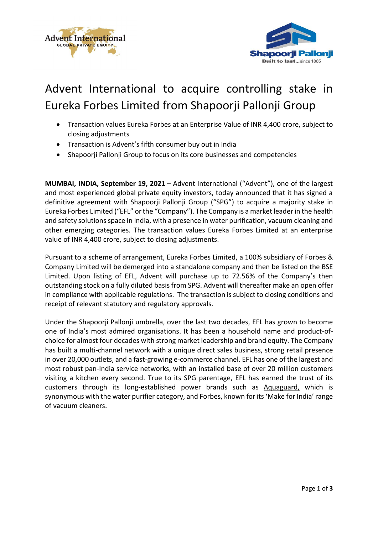



## Advent International to acquire controlling stake in Eureka Forbes Limited from Shapoorji Pallonji Group

- Transaction values Eureka Forbes at an Enterprise Value of INR 4,400 crore, subject to closing adjustments
- Transaction is Advent's fifth consumer buy out in India
- Shapoorji Pallonji Group to focus on its core businesses and competencies

**MUMBAI, INDIA, September 19, 2021** – Advent International ("Advent"), one of the largest and most experienced global private equity investors, today announced that it has signed a definitive agreement with Shapoorji Pallonji Group ("SPG") to acquire a majority stake in Eureka Forbes Limited ("EFL" or the "Company"). The Company is a market leader in the health and safety solutions space in India, with a presence in water purification, vacuum cleaning and other emerging categories. The transaction values Eureka Forbes Limited at an enterprise value of INR 4,400 crore, subject to closing adjustments.

Pursuant to a scheme of arrangement, Eureka Forbes Limited, a 100% subsidiary of Forbes & Company Limited will be demerged into a standalone company and then be listed on the BSE Limited. Upon listing of EFL, Advent will purchase up to 72.56% of the Company's then outstanding stock on a fully diluted basis from SPG. Advent will thereafter make an open offer in compliance with applicable regulations. The transaction is subject to closing conditions and receipt of relevant statutory and regulatory approvals.

Under the Shapoorji Pallonji umbrella, over the last two decades, EFL has grown to become one of India's most admired organisations. It has been a household name and product-ofchoice for almost four decades with strong market leadership and brand equity. The Company has built a multi-channel network with a unique direct sales business, strong retail presence in over 20,000 outlets, and a fast-growing e-commerce channel. EFL has one of the largest and most robust pan-India service networks, with an installed base of over 20 million customers visiting a kitchen every second. True to its SPG parentage, EFL has earned the trust of its customers through its long-established power brands such as Aquaguard, which is synonymous with the water purifier category, and Forbes, known for its 'Make for India' range of vacuum cleaners.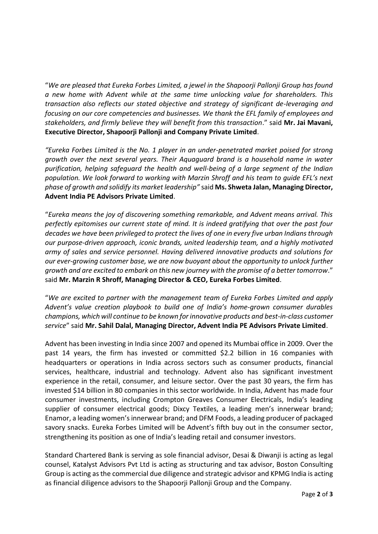"*We are pleased that Eureka Forbes Limited, a jewel in the Shapoorji Pallonji Group has found a new home with Advent while at the same time unlocking value for shareholders. This transaction also reflects our stated objective and strategy of significant de-leveraging and focusing on our core competencies and businesses. We thank the EFL family of employees and stakeholders, and firmly believe they will benefit from this transaction*." said **Mr. Jai Mavani, Executive Director, Shapoorji Pallonji and Company Private Limited**.

*"Eureka Forbes Limited is the No. 1 player in an under-penetrated market poised for strong growth over the next several years. Their Aquaguard brand is a household name in water purification, helping safeguard the health and well-being of a large segment of the Indian population. We look forward to working with Marzin Shroff and his team to guide EFL's next phase of growth and solidify its market leadership"* said **Ms. Shweta Jalan, Managing Director, Advent India PE Advisors Private Limited**.

"*Eureka means the joy of discovering something remarkable, and Advent means arrival. This perfectly epitomises our current state of mind. It is indeed gratifying that over the past four decades we have been privileged to protect the lives of one in every five urban Indians through our purpose-driven approach, iconic brands, united leadership team, and a highly motivated army of sales and service personnel. Having delivered innovative products and solutions for our ever-growing customer base, we are now buoyant about the opportunity to unlock further growth and are excited to embark on this new journey with the promise of a better tomorrow*." said **Mr. Marzin R Shroff, Managing Director & CEO, Eureka Forbes Limited**.

"*We are excited to partner with the management team of Eureka Forbes Limited and apply Advent's value creation playbook to build one of India's home-grown consumer durables champions, which will continue to be known for innovative products and best-in-class customer service*" said **Mr. Sahil Dalal, Managing Director, Advent India PE Advisors Private Limited**.

Advent has been investing in India since 2007 and opened its Mumbai office in 2009. Over the past 14 years, the firm has invested or committed \$2.2 billion in 16 companies with headquarters or operations in India across sectors such as consumer products, financial services, healthcare, industrial and technology. Advent also has significant investment experience in the retail, consumer, and leisure sector. Over the past 30 years, the firm has invested \$14 billion in 80 companies in this sector worldwide. In India, Advent has made four consumer investments, including Crompton Greaves Consumer Electricals, India's leading supplier of consumer electrical goods; Dixcy Textiles, a leading men's innerwear brand; Enamor, a leading women's innerwear brand; and DFM Foods, a leading producer of packaged savory snacks. Eureka Forbes Limited will be Advent's fifth buy out in the consumer sector, strengthening its position as one of India's leading retail and consumer investors.

Standard Chartered Bank is serving as sole financial advisor, Desai & Diwanji is acting as legal counsel, Katalyst Advisors Pvt Ltd is acting as structuring and tax advisor, Boston Consulting Group is acting as the commercial due diligence and strategic advisor and KPMG India is acting as financial diligence advisors to the Shapoorji Pallonji Group and the Company.